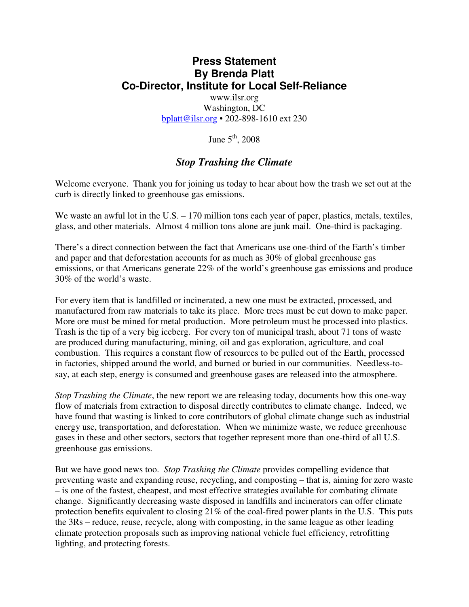## **Press Statement By Brenda Platt Co-Director, Institute for Local Self-Reliance**

www.ilsr.org Washington, DC bplatt@ilsr.org • 202-898-1610 ext 230

June  $5<sup>th</sup>$ , 2008

## *Stop Trashing the Climate*

Welcome everyone. Thank you for joining us today to hear about how the trash we set out at the curb is directly linked to greenhouse gas emissions.

We waste an awful lot in the U.S. – 170 million tons each year of paper, plastics, metals, textiles, glass, and other materials. Almost 4 million tons alone are junk mail. One-third is packaging.

There's a direct connection between the fact that Americans use one-third of the Earth's timber and paper and that deforestation accounts for as much as 30% of global greenhouse gas emissions, or that Americans generate 22% of the world's greenhouse gas emissions and produce 30% of the world's waste.

For every item that is landfilled or incinerated, a new one must be extracted, processed, and manufactured from raw materials to take its place. More trees must be cut down to make paper. More ore must be mined for metal production. More petroleum must be processed into plastics. Trash is the tip of a very big iceberg. For every ton of municipal trash, about 71 tons of waste are produced during manufacturing, mining, oil and gas exploration, agriculture, and coal combustion. This requires a constant flow of resources to be pulled out of the Earth, processed in factories, shipped around the world, and burned or buried in our communities. Needless-tosay, at each step, energy is consumed and greenhouse gases are released into the atmosphere.

*Stop Trashing the Climate*, the new report we are releasing today, documents how this one-way flow of materials from extraction to disposal directly contributes to climate change. Indeed, we have found that wasting is linked to core contributors of global climate change such as industrial energy use, transportation, and deforestation. When we minimize waste, we reduce greenhouse gases in these and other sectors, sectors that together represent more than one-third of all U.S. greenhouse gas emissions.

But we have good news too. *Stop Trashing the Climate* provides compelling evidence that preventing waste and expanding reuse, recycling, and composting – that is, aiming for zero waste – is one of the fastest, cheapest, and most effective strategies available for combating climate change. Significantly decreasing waste disposed in landfills and incinerators can offer climate protection benefits equivalent to closing 21% of the coal-fired power plants in the U.S. This puts the 3Rs – reduce, reuse, recycle, along with composting, in the same league as other leading climate protection proposals such as improving national vehicle fuel efficiency, retrofitting lighting, and protecting forests.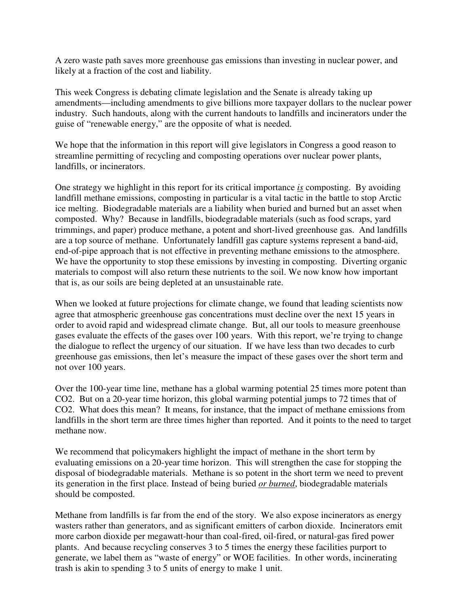A zero waste path saves more greenhouse gas emissions than investing in nuclear power, and likely at a fraction of the cost and liability.

This week Congress is debating climate legislation and the Senate is already taking up amendments—including amendments to give billions more taxpayer dollars to the nuclear power industry. Such handouts, along with the current handouts to landfills and incinerators under the guise of "renewable energy," are the opposite of what is needed.

We hope that the information in this report will give legislators in Congress a good reason to streamline permitting of recycling and composting operations over nuclear power plants, landfills, or incinerators.

One strategy we highlight in this report for its critical importance *is* composting. By avoiding landfill methane emissions, composting in particular is a vital tactic in the battle to stop Arctic ice melting. Biodegradable materials are a liability when buried and burned but an asset when composted. Why? Because in landfills, biodegradable materials (such as food scraps, yard trimmings, and paper) produce methane, a potent and short-lived greenhouse gas. And landfills are a top source of methane. Unfortunately landfill gas capture systems represent a band-aid, end-of-pipe approach that is not effective in preventing methane emissions to the atmosphere. We have the opportunity to stop these emissions by investing in composting. Diverting organic materials to compost will also return these nutrients to the soil. We now know how important that is, as our soils are being depleted at an unsustainable rate.

When we looked at future projections for climate change, we found that leading scientists now agree that atmospheric greenhouse gas concentrations must decline over the next 15 years in order to avoid rapid and widespread climate change. But, all our tools to measure greenhouse gases evaluate the effects of the gases over 100 years. With this report, we're trying to change the dialogue to reflect the urgency of our situation. If we have less than two decades to curb greenhouse gas emissions, then let's measure the impact of these gases over the short term and not over 100 years.

Over the 100-year time line, methane has a global warming potential 25 times more potent than CO2. But on a 20-year time horizon, this global warming potential jumps to 72 times that of CO2. What does this mean? It means, for instance, that the impact of methane emissions from landfills in the short term are three times higher than reported. And it points to the need to target methane now.

We recommend that policymakers highlight the impact of methane in the short term by evaluating emissions on a 20-year time horizon. This will strengthen the case for stopping the disposal of biodegradable materials. Methane is so potent in the short term we need to prevent its generation in the first place. Instead of being buried *or burned*, biodegradable materials should be composted.

Methane from landfills is far from the end of the story. We also expose incinerators as energy wasters rather than generators, and as significant emitters of carbon dioxide. Incinerators emit more carbon dioxide per megawatt-hour than coal-fired, oil-fired, or natural-gas fired power plants. And because recycling conserves 3 to 5 times the energy these facilities purport to generate, we label them as "waste of energy" or WOE facilities. In other words, incinerating trash is akin to spending 3 to 5 units of energy to make 1 unit.